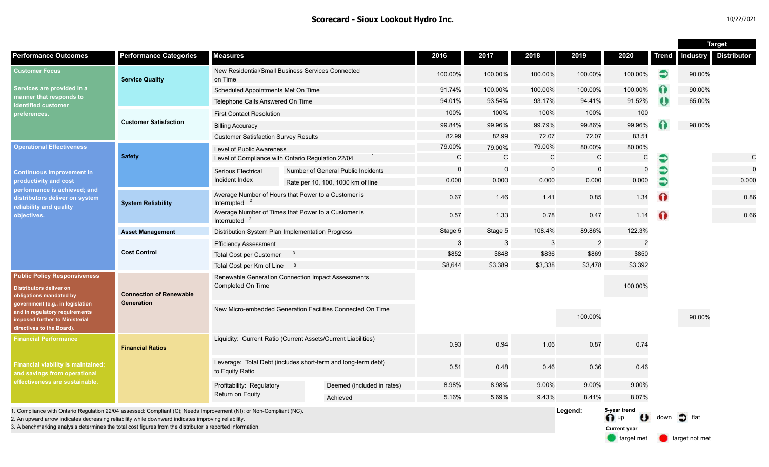|                                                                                                                                                                                                                                                                                                                                        |                                              |                                                                                  |  |                                    |              |                |          |                |                                             |              | <b>Target</b> |                      |  |
|----------------------------------------------------------------------------------------------------------------------------------------------------------------------------------------------------------------------------------------------------------------------------------------------------------------------------------------|----------------------------------------------|----------------------------------------------------------------------------------|--|------------------------------------|--------------|----------------|----------|----------------|---------------------------------------------|--------------|---------------|----------------------|--|
| <b>Performance Outcomes</b>                                                                                                                                                                                                                                                                                                            | <b>Performance Categories</b>                | <b>Measures</b>                                                                  |  |                                    | 2016         | 2017           | 2018     | 2019           | 2020                                        | <b>Trend</b> |               | Industry Distributor |  |
| <b>Customer Focus</b><br>Services are provided in a<br>manner that responds to<br>identified customer<br>preferences.                                                                                                                                                                                                                  | <b>Service Quality</b>                       | New Residential/Small Business Services Connected<br>on Time                     |  |                                    | 100.00%      | 100.00%        | 100.00%  | 100.00%        | 100.00%                                     | €            | 90.00%        |                      |  |
|                                                                                                                                                                                                                                                                                                                                        |                                              | Scheduled Appointments Met On Time                                               |  |                                    | 91.74%       | 100.00%        | 100.00%  | 100.00%        | 100.00%                                     | ∩            | 90.00%        |                      |  |
|                                                                                                                                                                                                                                                                                                                                        |                                              | Telephone Calls Answered On Time                                                 |  |                                    | 94.01%       | 93.54%         | 93.17%   | 94.41%         | 91.52%                                      | ₩            | 65.00%        |                      |  |
|                                                                                                                                                                                                                                                                                                                                        | <b>Customer Satisfaction</b>                 | <b>First Contact Resolution</b>                                                  |  |                                    | 100%         | 100%           | 100%     | 100%           | 100                                         |              |               |                      |  |
|                                                                                                                                                                                                                                                                                                                                        |                                              | <b>Billing Accuracy</b>                                                          |  |                                    | 99.84%       | 99.96%         | 99.79%   | 99.86%         | 99.96%                                      |              | 98.00%        |                      |  |
|                                                                                                                                                                                                                                                                                                                                        |                                              | <b>Customer Satisfaction Survey Results</b>                                      |  |                                    | 82.99        | 82.99          | 72.07    | 72.07          | 83.51                                       |              |               |                      |  |
| <b>Operational Effectiveness</b><br><b>Continuous improvement in</b><br>productivity and cost<br>performance is achieved; and<br>distributors deliver on system<br>reliability and quality<br>objectives.                                                                                                                              | <b>Safety</b>                                | Level of Public Awareness                                                        |  |                                    | 79.00%       | 79.00%         | 79.00%   | 80.00%         | 80.00%                                      |              |               |                      |  |
|                                                                                                                                                                                                                                                                                                                                        |                                              | Level of Compliance with Ontario Regulation 22/04                                |  |                                    | $\mathsf{C}$ | $\mathsf{C}$   | C        | $\mathsf{C}$   | C                                           | €            |               | $\mathsf{C}$         |  |
|                                                                                                                                                                                                                                                                                                                                        |                                              | Serious Electrical<br>Incident Index                                             |  | Number of General Public Incidents | $\Omega$     | $\overline{0}$ | $\Omega$ | $\Omega$       | $\mathbf 0$                                 | €            |               | $\mathbf 0$          |  |
|                                                                                                                                                                                                                                                                                                                                        |                                              |                                                                                  |  | Rate per 10, 100, 1000 km of line  | 0.000        | 0.000          | 0.000    | 0.000          | 0.000                                       | €            |               | 0.000                |  |
|                                                                                                                                                                                                                                                                                                                                        | <b>System Reliability</b>                    | Average Number of Hours that Power to a Customer is<br>Interrupted               |  |                                    | 0.67         | 1.46           | 1.41     | 0.85           | 1.34                                        | $\bullet$    |               | 0.86                 |  |
|                                                                                                                                                                                                                                                                                                                                        |                                              | Average Number of Times that Power to a Customer is<br>Interrupted               |  |                                    | 0.57         | 1.33           | 0.78     | 0.47           | 1.14                                        | ⋒            |               | 0.66                 |  |
|                                                                                                                                                                                                                                                                                                                                        | <b>Asset Management</b>                      | Distribution System Plan Implementation Progress                                 |  |                                    | Stage 5      | Stage 5        | 108.4%   | 89.86%         | 122.3%                                      |              |               |                      |  |
|                                                                                                                                                                                                                                                                                                                                        | <b>Cost Control</b>                          | <b>Efficiency Assessment</b>                                                     |  |                                    | 3            | $\mathbf{3}$   | 3        | $\overline{2}$ | $\overline{2}$                              |              |               |                      |  |
|                                                                                                                                                                                                                                                                                                                                        |                                              | <b>Total Cost per Customer</b>                                                   |  |                                    | \$852        | \$848          | \$836    | \$869          | \$850                                       |              |               |                      |  |
|                                                                                                                                                                                                                                                                                                                                        |                                              | Total Cost per Km of Line 3                                                      |  |                                    | \$8,644      | \$3,389        | \$3,338  | \$3,478        | \$3,392                                     |              |               |                      |  |
| <b>Public Policy Responsiveness</b><br><b>Distributors deliver on</b><br>obligations mandated by<br>government (e.g., in legislation<br>and in regulatory requirements<br>imposed further to Ministerial<br>directives to the Board).                                                                                                  | <b>Connection of Renewable</b><br>Generation | Renewable Generation Connection Impact Assessments<br>Completed On Time          |  |                                    |              |                |          |                | 100.00%                                     |              |               |                      |  |
|                                                                                                                                                                                                                                                                                                                                        |                                              | New Micro-embedded Generation Facilities Connected On Time                       |  |                                    |              |                |          | 100.00%        |                                             |              | 90.00%        |                      |  |
| <b>Financial Performance</b><br><b>Financial viability is maintained;</b><br>and savings from operational<br>effectiveness are sustainable.                                                                                                                                                                                            | <b>Financial Ratios</b>                      | Liquidity: Current Ratio (Current Assets/Current Liabilities)                    |  |                                    | 0.93         | 0.94           | 1.06     | 0.87           | 0.74                                        |              |               |                      |  |
|                                                                                                                                                                                                                                                                                                                                        |                                              | Leverage: Total Debt (includes short-term and long-term debt)<br>to Equity Ratio |  |                                    | 0.51         | 0.48           | 0.46     | 0.36           | 0.46                                        |              |               |                      |  |
|                                                                                                                                                                                                                                                                                                                                        |                                              | Profitability: Regulatory                                                        |  | Deemed (included in rates)         | 8.98%        | 8.98%          | 9.00%    | 9.00%          | 9.00%                                       |              |               |                      |  |
|                                                                                                                                                                                                                                                                                                                                        |                                              | <b>Return on Equity</b>                                                          |  | Achieved                           | 5.16%        | 5.69%          | 9.43%    | 8.41%          | 8.07%                                       |              |               |                      |  |
| I. Compliance with Ontario Regulation 22/04 assessed: Compliant (C); Needs Improvement (NI); or Non-Compliant (NC).<br>2. An upward arrow indicates decreasing reliability while downward indicates improving reliability<br>3. A benchmarking analysis determines the total cost figures from the distributor's reported information. |                                              |                                                                                  |  |                                    |              |                |          | Legend:        | 5-year trend<br>O up<br><b>Current year</b> | down         |               |                      |  |

target met **target not met**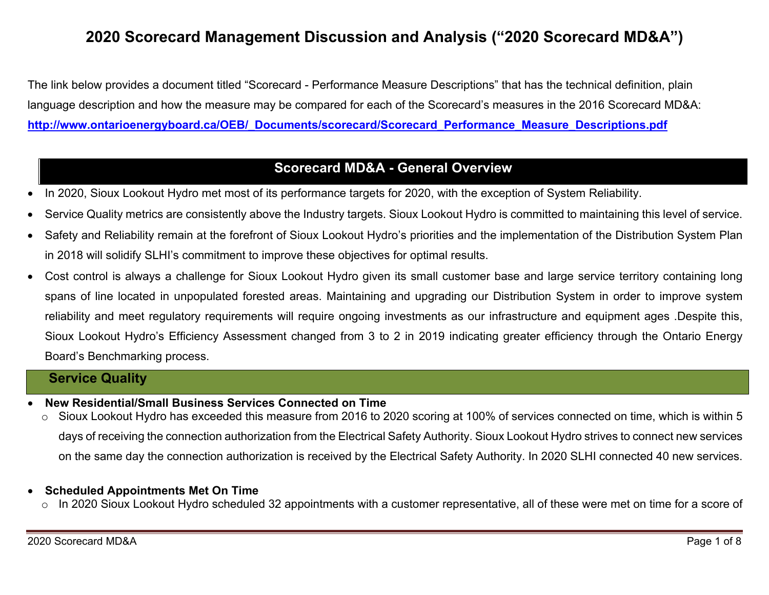# **2020 Scorecard Management Discussion and Analysis ("2020 Scorecard MD&A")**

The link below provides a document titled "Scorecard - Performance Measure Descriptions" that has the technical definition, plain language description and how the measure may be compared for each of the Scorecard's measures in the 2016 Scorecard MD&A: **http://www.ontarioenergyboard.ca/OEB/\_Documents/scorecard/Scorecard\_Performance\_Measure\_Descriptions.pdf** 

## **Scorecard MD&A - General Overview**

- In 2020, Sioux Lookout Hydro met most of its performance targets for 2020, with the exception of System Reliability.
- Service Quality metrics are consistently above the Industry targets. Sioux Lookout Hydro is committed to maintaining this level of service.
- Safety and Reliability remain at the forefront of Sioux Lookout Hydro's priorities and the implementation of the Distribution System Plan in 2018 will solidify SLHI's commitment to improve these objectives for optimal results.
- Cost control is always a challenge for Sioux Lookout Hydro given its small customer base and large service territory containing long spans of line located in unpopulated forested areas. Maintaining and upgrading our Distribution System in order to improve system reliability and meet regulatory requirements will require ongoing investments as our infrastructure and equipment ages .Despite this, Sioux Lookout Hydro's Efficiency Assessment changed from 3 to 2 in 2019 indicating greater efficiency through the Ontario Energy Board's Benchmarking process.

### **Service Quality**

- 0 **New Residential/Small Business Services Connected on Time** 
	- <sup>o</sup> Sioux Lookout Hydro has exceeded this measure from 2016 to 2020 scoring at 100% of services connected on time, which is within 5 days of receiving the connection authorization from the Electrical Safety Authority. Sioux Lookout Hydro strives to connect new services on the same day the connection authorization is received by the Electrical Safety Authority. In 2020 SLHI connected 40 new services.

#### 0 **Scheduled Appointments Met On Time**

o In 2020 Sioux Lookout Hydro scheduled 32 appointments with a customer representative, all of these were met on time for a score of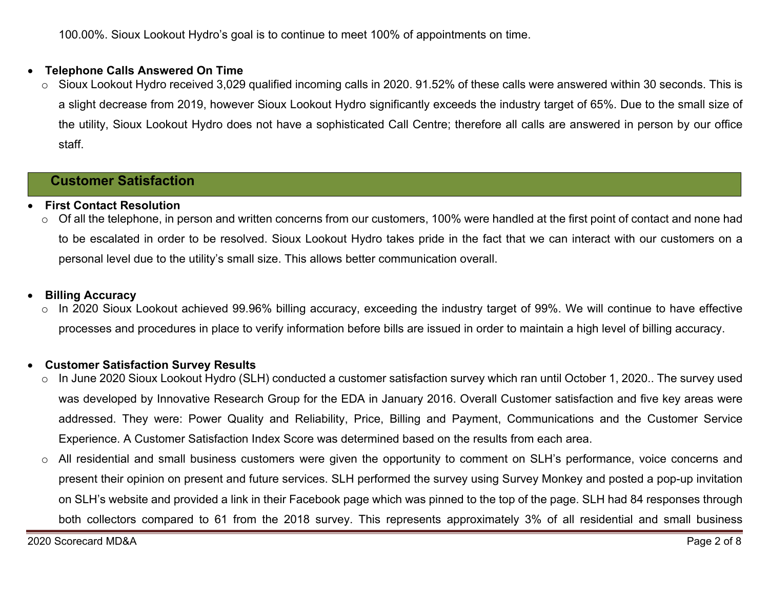100.00%. Sioux Lookout Hydro's goal is to continue to meet 100% of appointments on time.

#### $\bullet$ **Telephone Calls Answered On Time**

<sup>o</sup> Sioux Lookout Hydro received 3,029 qualified incoming calls in 2020. 91.52% of these calls were answered within 30 seconds. This is a slight decrease from 2019, however Sioux Lookout Hydro significantly exceeds the industry target of 65%. Due to the small size of the utility, Sioux Lookout Hydro does not have a sophisticated Call Centre; therefore all calls are answered in person by our office staff.

## **Customer Satisfaction**

#### 0 **First Contact Resolution**

<sup>o</sup> Of all the telephone, in person and written concerns from our customers, 100% were handled at the first point of contact and none had to be escalated in order to be resolved. Sioux Lookout Hydro takes pride in the fact that we can interact with our customers on a personal level due to the utility's small size. This allows better communication overall.

#### 0 **Billing Accuracy**

<sup>o</sup> In 2020 Sioux Lookout achieved 99.96% billing accuracy, exceeding the industry target of 99%. We will continue to have effective processes and procedures in place to verify information before bills are issued in order to maintain a high level of billing accuracy.

#### 0 **Customer Satisfaction Survey Results**

- <sup>o</sup> In June 2020 Sioux Lookout Hydro (SLH) conducted a customer satisfaction survey which ran until October 1, 2020.. The survey used was developed by Innovative Research Group for the EDA in January 2016. Overall Customer satisfaction and five key areas were addressed. They were: Power Quality and Reliability, Price, Billing and Payment, Communications and the Customer Service Experience. A Customer Satisfaction Index Score was determined based on the results from each area.
- <sup>o</sup> All residential and small business customers were given the opportunity to comment on SLH's performance, voice concerns and present their opinion on present and future services. SLH performed the survey using Survey Monkey and posted a pop-up invitation on SLH's website and provided a link in their Facebook page which was pinned to the top of the page. SLH had 84 responses through both collectors compared to 61 from the 2018 survey. This represents approximately 3% of all residential and small business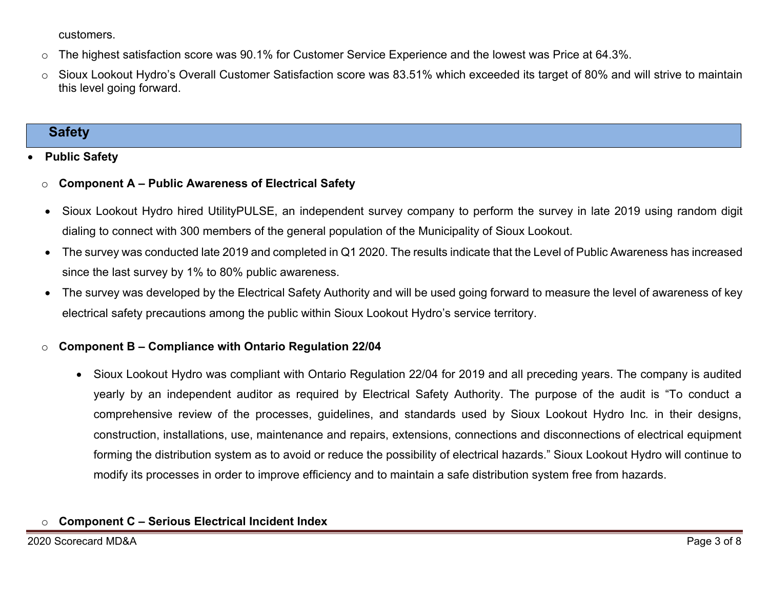customers.

- $\circ$  The highest satisfaction score was 90.1% for Customer Service Experience and the lowest was Price at 64.3%.
- <sup>o</sup> Sioux Lookout Hydro's Overall Customer Satisfaction score was 83.51% which exceeded its target of 80% and will strive to maintain this level going forward.

## **Safety**

#### 0 **Public Safety**

#### o**Component A – Public Awareness of Electrical Safety**

- Sioux Lookout Hydro hired UtilityPULSE, an independent survey company to perform the survey in late 2019 using random digit dialing to connect with 300 members of the general population of the Municipality of Sioux Lookout.
- The survey was conducted late 2019 and completed in Q1 2020. The results indicate that the Level of Public Awareness has increased since the last survey by 1% to 80% public awareness.
- The survey was developed by the Electrical Safety Authority and will be used going forward to measure the level of awareness of key electrical safety precautions among the public within Sioux Lookout Hydro's service territory.

#### o**Component B – Compliance with Ontario Regulation 22/04**

 Sioux Lookout Hydro was compliant with Ontario Regulation 22/04 for 2019 and all preceding years. The company is audited yearly by an independent auditor as required by Electrical Safety Authority. The purpose of the audit is "To conduct a comprehensive review of the processes, guidelines, and standards used by Sioux Lookout Hydro Inc*.* in their designs, construction, installations, use, maintenance and repairs, extensions, connections and disconnections of electrical equipment forming the distribution system as to avoid or reduce the possibility of electrical hazards." Sioux Lookout Hydro will continue to modify its processes in order to improve efficiency and to maintain a safe distribution system free from hazards.

#### o**Component C – Serious Electrical Incident Index**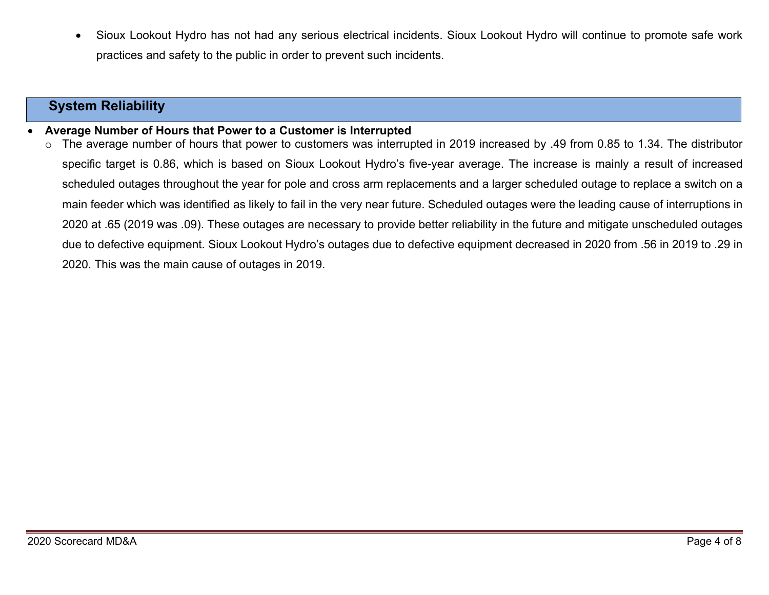Sioux Lookout Hydro has not had any serious electrical incidents. Sioux Lookout Hydro will continue to promote safe work practices and safety to the public in order to prevent such incidents.

## **System Reliability**

0 **Average Number of Hours that Power to a Customer is Interrupted** 

<sup>o</sup> The average number of hours that power to customers was interrupted in 2019 increased by .49 from 0.85 to 1.34. The distributor specific target is 0.86, which is based on Sioux Lookout Hydro's five-year average. The increase is mainly a result of increased scheduled outages throughout the year for pole and cross arm replacements and a larger scheduled outage to replace a switch on a main feeder which was identified as likely to fail in the very near future. Scheduled outages were the leading cause of interruptions in 2020 at .65 (2019 was .09). These outages are necessary to provide better reliability in the future and mitigate unscheduled outages due to defective equipment. Sioux Lookout Hydro's outages due to defective equipment decreased in 2020 from .56 in 2019 to .29 in 2020. This was the main cause of outages in 2019.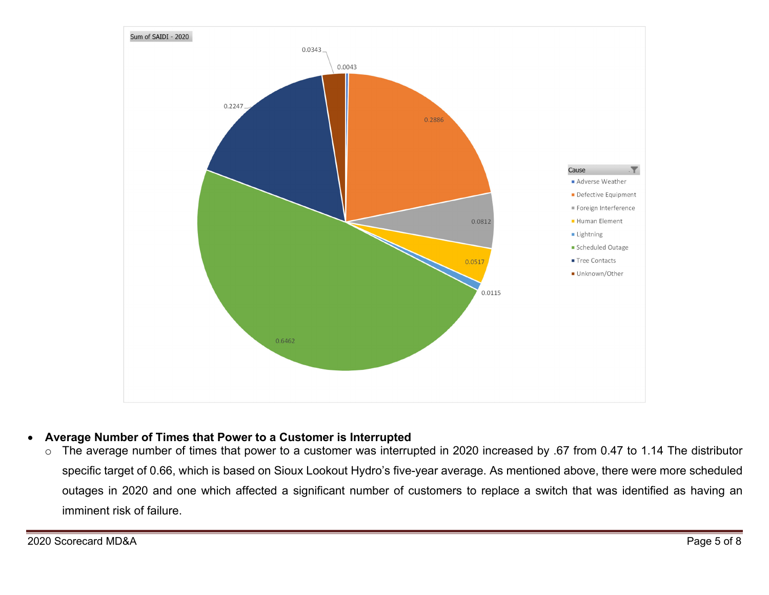

#### $\bullet$ **Average Number of Times that Power to a Customer is Interrupted**

<sup>o</sup> The average number of times that power to a customer was interrupted in 2020 increased by .67 from 0.47 to 1.14 The distributor specific target of 0.66, which is based on Sioux Lookout Hydro's five-year average. As mentioned above, there were more scheduled outages in 2020 and one which affected a significant number of customers to replace a switch that was identified as having an imminent risk of failure.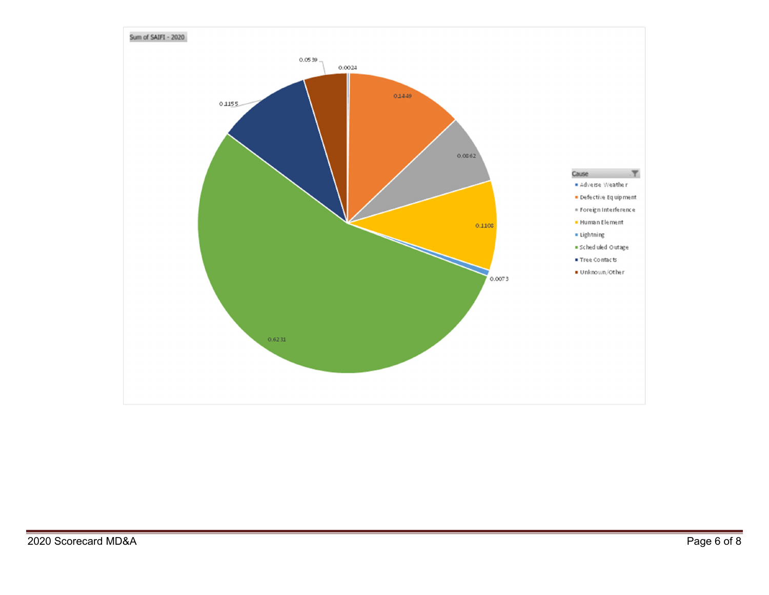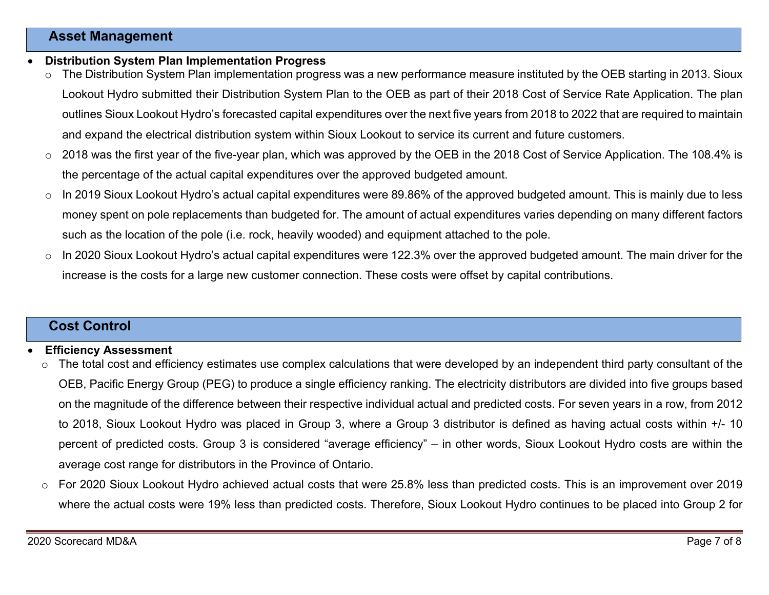### **Asset Management**

- 0 **Distribution System Plan Implementation Progress** 
	- <sup>o</sup> The Distribution System Plan implementation progress was a new performance measure instituted by the OEB starting in 2013. Sioux Lookout Hydro submitted their Distribution System Plan to the OEB as part of their 2018 Cost of Service Rate Application. The plan outlines Sioux Lookout Hydro's forecasted capital expenditures over the next five years from 2018 to 2022 that are required to maintain and expand the electrical distribution system within Sioux Lookout to service its current and future customers.
	- $\circ$  2018 was the first year of the five-year plan, which was approved by the OEB in the 2018 Cost of Service Application. The 108.4% is the percentage of the actual capital expenditures over the approved budgeted amount.
	- $\circ$  In 2019 Sioux Lookout Hydro's actual capital expenditures were 89.86% of the approved budgeted amount. This is mainly due to less money spent on pole replacements than budgeted for. The amount of actual expenditures varies depending on many different factors such as the location of the pole (i.e. rock, heavily wooded) and equipment attached to the pole.
	- $\circ$  In 2020 Sioux Lookout Hydro's actual capital expenditures were 122.3% over the approved budgeted amount. The main driver for the increase is the costs for a large new customer connection. These costs were offset by capital contributions.

### **Cost Control**

#### 0 **Efficiency Assessment**

- <sup>o</sup> The total cost and efficiency estimates use complex calculations that were developed by an independent third party consultant of the OEB, Pacific Energy Group (PEG) to produce a single efficiency ranking. The electricity distributors are divided into five groups based on the magnitude of the difference between their respective individual actual and predicted costs. For seven years in a row, from 2012 to 2018, Sioux Lookout Hydro was placed in Group 3, where a Group 3 distributor is defined as having actual costs within +/- 10 percent of predicted costs. Group 3 is considered "average efficiency" – in other words, Sioux Lookout Hydro costs are within the average cost range for distributors in the Province of Ontario.
- $\circ$  For 2020 Sioux Lookout Hydro achieved actual costs that were 25.8% less than predicted costs. This is an improvement over 2019 where the actual costs were 19% less than predicted costs. Therefore, Sioux Lookout Hydro continues to be placed into Group 2 for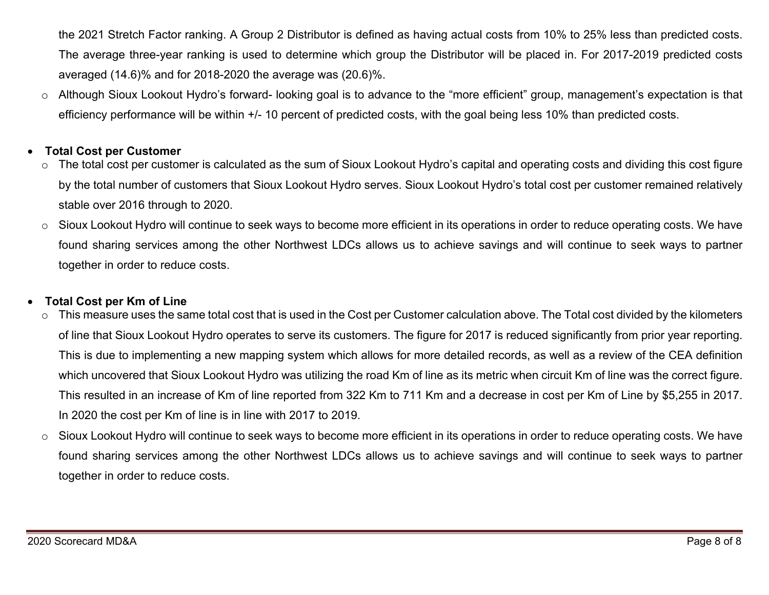the 2021 Stretch Factor ranking. A Group 2 Distributor is defined as having actual costs from 10% to 25% less than predicted costs. The average three-year ranking is used to determine which group the Distributor will be placed in. For 2017-2019 predicted costs averaged (14.6)% and for 2018-2020 the average was (20.6)%.

<sup>o</sup> Although Sioux Lookout Hydro's forward- looking goal is to advance to the "more efficient" group, management's expectation is that efficiency performance will be within +/- 10 percent of predicted costs, with the goal being less 10% than predicted costs.

#### 0 **Total Cost per Customer**

- The total cost per customer is calculated as the sum of Sioux Lookout Hydro's capital and operating costs and dividing this cost figure by the total number of customers that Sioux Lookout Hydro serves. Sioux Lookout Hydro's total cost per customer remained relatively stable over 2016 through to 2020.
- o Sioux Lookout Hydro will continue to seek ways to become more efficient in its operations in order to reduce operating costs. We have found sharing services among the other Northwest LDCs allows us to achieve savings and will continue to seek ways to partner together in order to reduce costs.

#### 0 **Total Cost per Km of Line**

- $\circ$  This measure uses the same total cost that is used in the Cost per Customer calculation above. The Total cost divided by the kilometers of line that Sioux Lookout Hydro operates to serve its customers. The figure for 2017 is reduced significantly from prior year reporting. This is due to implementing a new mapping system which allows for more detailed records, as well as a review of the CEA definition which uncovered that Sioux Lookout Hydro was utilizing the road Km of line as its metric when circuit Km of line was the correct figure. This resulted in an increase of Km of line reported from 322 Km to 711 Km and a decrease in cost per Km of Line by \$5,255 in 2017. In 2020 the cost per Km of line is in line with 2017 to 2019.
- o Sioux Lookout Hydro will continue to seek ways to become more efficient in its operations in order to reduce operating costs. We have found sharing services among the other Northwest LDCs allows us to achieve savings and will continue to seek ways to partner together in order to reduce costs.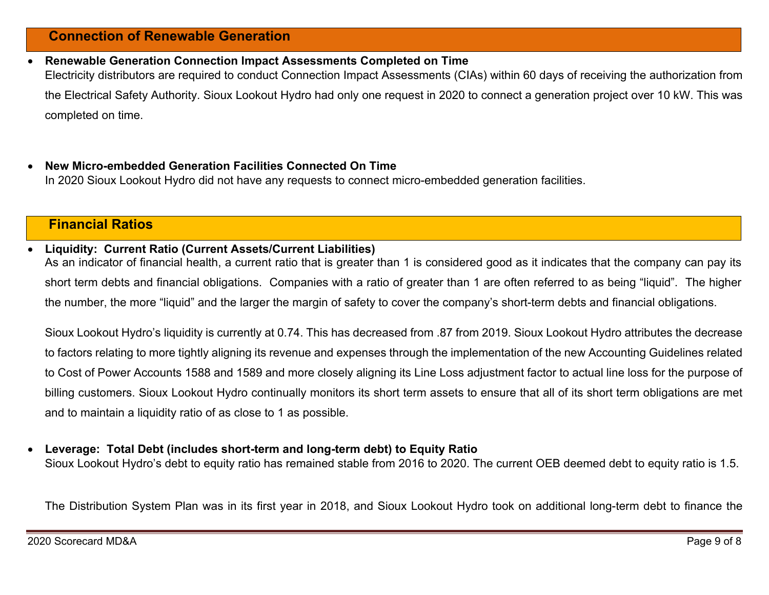### **Connection of Renewable Generation**

- 0 **Renewable Generation Connection Impact Assessments Completed on Time**  Electricity distributors are required to conduct Connection Impact Assessments (CIAs) within 60 days of receiving the authorization from the Electrical Safety Authority. Sioux Lookout Hydro had only one request in 2020 to connect a generation project over 10 kW. This was completed on time.
- 0 **New Micro-embedded Generation Facilities Connected On Time**  In 2020 Sioux Lookout Hydro did not have any requests to connect micro-embedded generation facilities.

### **Financial Ratios**

#### $\bullet$ **Liquidity: Current Ratio (Current Assets/Current Liabilities)**

As an indicator of financial health, a current ratio that is greater than 1 is considered good as it indicates that the company can pay its short term debts and financial obligations. Companies with a ratio of greater than 1 are often referred to as being "liquid". The higher the number, the more "liquid" and the larger the margin of safety to cover the company's short-term debts and financial obligations.

Sioux Lookout Hydro's liquidity is currently at 0.74. This has decreased from .87 from 2019. Sioux Lookout Hydro attributes the decrease to factors relating to more tightly aligning its revenue and expenses through the implementation of the new Accounting Guidelines related to Cost of Power Accounts 1588 and 1589 and more closely aligning its Line Loss adjustment factor to actual line loss for the purpose of billing customers. Sioux Lookout Hydro continually monitors its short term assets to ensure that all of its short term obligations are met and to maintain a liquidity ratio of as close to 1 as possible.

#### $\bullet$ **Leverage: Total Debt (includes short-term and long-term debt) to Equity Ratio**

Sioux Lookout Hydro's debt to equity ratio has remained stable from 2016 to 2020. The current OEB deemed debt to equity ratio is 1.5.

The Distribution System Plan was in its first year in 2018, and Sioux Lookout Hydro took on additional long-term debt to finance the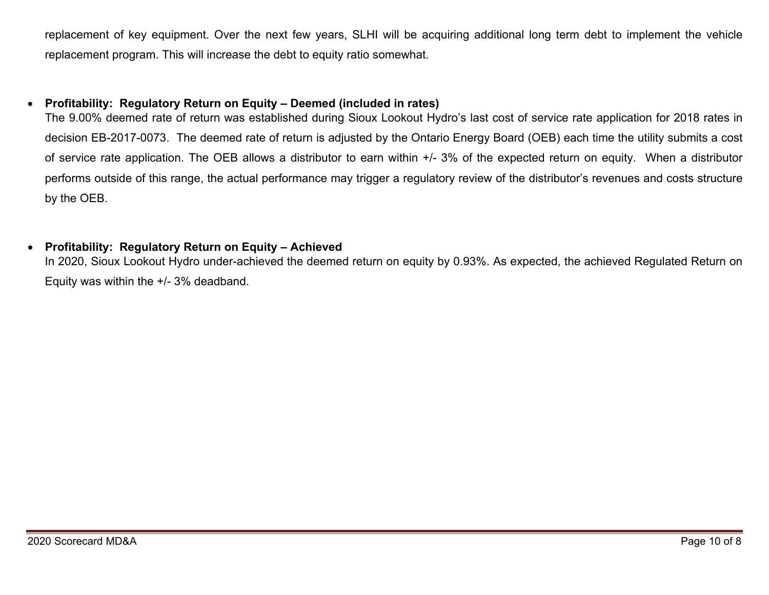replacement of key equipment. Over the next few years, SLHI will be acquiring additional long term debt to implement the vehicle replacement program. This will increase the debt to equity ratio somewhat.

#### $\bullet$ **Profitability: Regulatory Return on Equity – Deemed (included in rates)**

The 9.00% deemed rate of return was established during Sioux Lookout Hydro's last cost of service rate application for 2018 rates in decision EB-2017-0073. The deemed rate of return is adjusted by the Ontario Energy Board (OEB) each time the utility submits a cost of service rate application. The OEB allows a distributor to earn within +/- 3% of the expected return on equity. When a distributor performs outside of this range, the actual performance may trigger a regulatory review of the distributor's revenues and costs structure by the OEB.

#### $\bullet$ **Profitability: Regulatory Return on Equity – Achieved**

In 2020, Sioux Lookout Hydro under-achieved the deemed return on equity by 0.93%. As expected, the achieved Regulated Return on Equity was within the +/- 3% deadband.